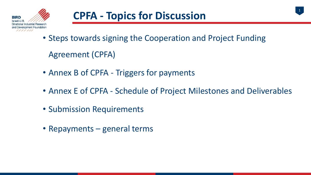

- Steps towards signing the Cooperation and Project Funding Agreement (CPFA)
- Annex B of CPFA Triggers for payments
- Annex E of CPFA Schedule of Project Milestones and Deliverables

1

- Submission Requirements
- Repayments general terms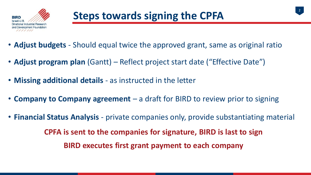

- **Adjust budgets**  Should equal twice the approved grant, same as original ratio
- **Adjust program plan** (Gantt) Reflect project start date ("Effective Date")
- **Missing additional details**  as instructed in the letter
- **Company to Company agreement**  a draft for BIRD to review prior to signing
- **Financial Status Analysis**  private companies only, provide substantiating material **CPFA is sent to the companies for signature, BIRD is last to sign BIRD executes first grant payment to each company**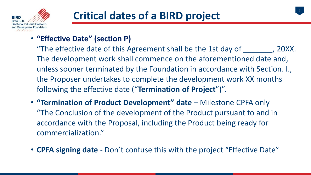

## • **"Effective Date" (section P)**

"The effective date of this Agreement shall be the 1st day of  $\hspace{1.5cm}$ , 20XX. The development work shall commence on the aforementioned date and, unless sooner terminated by the Foundation in accordance with Section. I., the Proposer undertakes to complete the development work XX months following the effective date ("**Termination of Project**")".

- **"Termination of Product Development" date** Milestone CPFA only "The Conclusion of the development of the Product pursuant to and in accordance with the Proposal, including the Product being ready for commercialization."
- **CPFA signing date**  Don't confuse this with the project "Effective Date"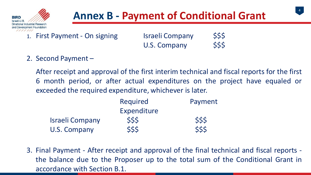

## **Annex B - Payment of Conditional Grant**



- 1. First Payment On signing Israeli Company \$\$\$ U.S. Company \$\$\$
- 2. Second Payment –

After receipt and approval of the first interim technical and fiscal reports for the first 6 month period, or after actual expenditures on the project have equaled or exceeded the required expenditure, whichever is later.

|                        | Required    | Payment |
|------------------------|-------------|---------|
|                        | Expenditure |         |
| <b>Israeli Company</b> | \$\$\$      | \$\$\$  |
| U.S. Company           | \$\$\$      | \$\$\$  |

3. Final Payment - After receipt and approval of the final technical and fiscal reports the balance due to the Proposer up to the total sum of the Conditional Grant in accordance with Section B.1.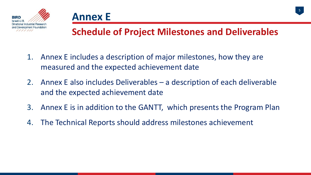



## **Schedule of Project Milestones and Deliverables**

- 1. Annex E includes a description of major milestones, how they are measured and the expected achievement date
- 2. Annex E also includes Deliverables a description of each deliverable and the expected achievement date
- 3. Annex E is in addition to the GANTT, which presents the Program Plan
- 4. The Technical Reports should address milestones achievement

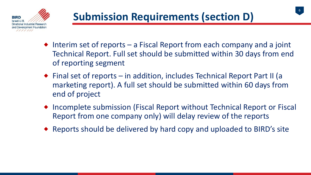

 $\bullet$  Interim set of reports – a Fiscal Report from each company and a joint Technical Report. Full set should be submitted within 30 days from end of reporting segment

6

- ◆ Final set of reports in addition, includes Technical Report Part II (a marketing report). A full set should be submitted within 60 days from end of project
- ◆ Incomplete submission (Fiscal Report without Technical Report or Fiscal Report from one company only) will delay review of the reports
- Reports should be delivered by hard copy and uploaded to BIRD's site